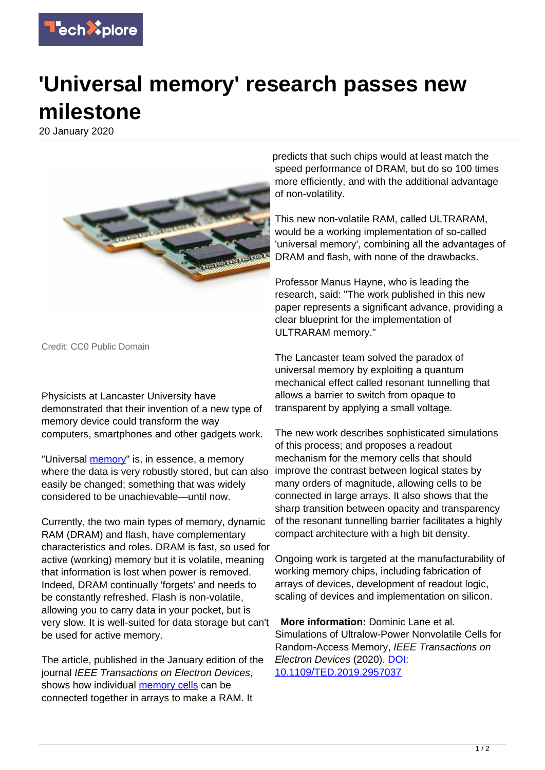

## **'Universal memory' research passes new milestone**

20 January 2020



Credit: CC0 Public Domain

Physicists at Lancaster University have demonstrated that their invention of a new type of memory device could transform the way computers, smartphones and other gadgets work.

"Universal [memory"](https://techxplore.com/tags/memory/) is, in essence, a memory where the data is very robustly stored, but can also easily be changed; something that was widely considered to be unachievable—until now.

Currently, the two main types of memory, dynamic RAM (DRAM) and flash, have complementary characteristics and roles. DRAM is fast, so used for active (working) memory but it is volatile, meaning that information is lost when power is removed. Indeed, DRAM continually 'forgets' and needs to be constantly refreshed. Flash is non-volatile, allowing you to carry data in your pocket, but is very slow. It is well-suited for data storage but can't be used for active memory.

The article, published in the January edition of the journal IEEE Transactions on Electron Devices, shows how individual [memory cells](https://techxplore.com/tags/memory+cells/) can be connected together in arrays to make a RAM. It

predicts that such chips would at least match the speed performance of DRAM, but do so 100 times more efficiently, and with the additional advantage of non-volatility.

This new non-volatile RAM, called ULTRARAM, would be a working implementation of so-called 'universal memory', combining all the advantages of DRAM and flash, with none of the drawbacks.

Professor Manus Hayne, who is leading the research, said: "The work published in this new paper represents a significant advance, providing a clear blueprint for the implementation of ULTRARAM memory."

The Lancaster team solved the paradox of universal memory by exploiting a quantum mechanical effect called resonant tunnelling that allows a barrier to switch from opaque to transparent by applying a small voltage.

The new work describes sophisticated simulations of this process; and proposes a readout mechanism for the memory cells that should improve the contrast between logical states by many orders of magnitude, allowing cells to be connected in large arrays. It also shows that the sharp transition between opacity and transparency of the resonant tunnelling barrier facilitates a highly compact architecture with a high bit density.

Ongoing work is targeted at the manufacturability of working memory chips, including fabrication of arrays of devices, development of readout logic, scaling of devices and implementation on silicon.

 **More information:** Dominic Lane et al. Simulations of Ultralow-Power Nonvolatile Cells for Random-Access Memory, IEEE Transactions on Electron Devices (2020). [DOI:](http://dx.doi.org/10.1109/TED.2019.2957037) [10.1109/TED.2019.2957037](http://dx.doi.org/10.1109/TED.2019.2957037)